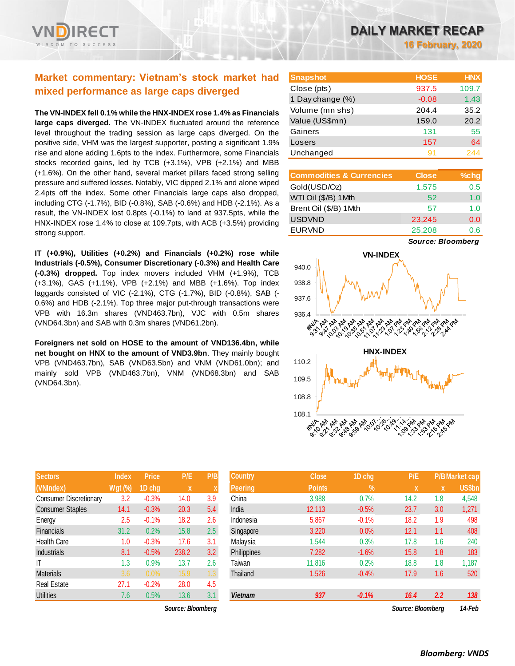# **Market commentary: Vietnam's stock market had mixed performance as large caps diverged**

**The VN-INDEX fell 0.1% while the HNX-INDEX rose 1.4% as Financials large caps diverged.** The VN-INDEX fluctuated around the reference level throughout the trading session as large caps diverged. On the positive side, VHM was the largest supporter, posting a significant 1.9% rise and alone adding 1.6pts to the index. Furthermore, some Financials stocks recorded gains, led by TCB (+3.1%), VPB (+2.1%) and MBB (+1.6%). On the other hand, several market pillars faced strong selling pressure and suffered losses. Notably, VIC dipped 2.1% and alone wiped 2.4pts off the index. Some other Financials large caps also dropped, including CTG (-1.7%), BID (-0.8%), SAB (-0.6%) and HDB (-2.1%). As a result, the VN-INDEX lost 0.8pts (-0.1%) to land at 937.5pts, while the HNX-INDEX rose 1.4% to close at 109.7pts, with ACB (+3.5%) providing strong support.

**IT (+0.9%), Utilities (+0.2%) and Financials (+0.2%) rose while Industrials (-0.5%), Consumer Discretionary (-0.3%) and Health Care (-0.3%) dropped.** Top index movers included VHM (+1.9%), TCB (+3.1%), GAS (+1.1%), VPB (+2.1%) and MBB (+1.6%). Top index laggards consisted of VIC (-2.1%), CTG (-1.7%), BID (-0.8%), SAB (- 0.6%) and HDB (-2.1%). Top three major put-through transactions were VPB with 16.3m shares (VND463.7bn), VJC with 0.5m shares (VND64.3bn) and SAB with 0.3m shares (VND61.2bn).

**Foreigners net sold on HOSE to the amount of VND136.4bn, while net bought on HNX to the amount of VND3.9bn**. They mainly bought VPB (VND463.7bn), SAB (VND63.5bn) and VNM (VND61.0bn); and mainly sold VPB (VND463.7bn), VNM (VND68.3bn) and SAB (VND64.3bn).

| <b>Sectors</b>                | <b>Index</b>   | <b>Price</b> | P/E   | P/B |
|-------------------------------|----------------|--------------|-------|-----|
| (VNIndex)                     | <b>Wgt (%)</b> | 1D chg       | X     | X   |
| <b>Consumer Discretionary</b> | 3.2            | $-0.3%$      | 14.0  | 3.9 |
| <b>Consumer Staples</b>       | 14.1           | $-0.3%$      | 20.3  | 5.4 |
| Energy                        | 2.5            | $-0.1%$      | 18.2  | 2.6 |
| Financials                    | 31.2           | 0.2%         | 15.8  | 2.5 |
| <b>Health Care</b>            | 1.0            | $-0.3%$      | 17.6  | 3.1 |
| <b>Industrials</b>            | 8.1            | $-0.5%$      | 238.2 | 3.2 |
| IT                            | 1.3            | 0.9%         | 13.7  | 2.6 |
| <b>Materials</b>              | 3.6            | 0.0%         | 15.9  | 1.3 |
| <b>Real Estate</b>            | 27.1           | $-0.2%$      | 28.0  | 4.5 |
| Utilities                     | 7.6            | 0.5%         | 13.6  | 3.1 |

 $Source: Bloomberg$ 

| <b>Snapshot</b>  | <b>HOSE</b> | <b>HNX</b> |
|------------------|-------------|------------|
| Close (pts)      | 937.5       | 109.7      |
| 1 Day change (%) | $-0.08$     | 1.43       |
| Volume (mn shs)  | 204.4       | 35.2       |
| Value (US\$mn)   | 159.0       | 20.2       |
| Gainers          | 131         | 55         |
| Losers           | 157         | 64         |
| Unchanged        | 91          | 244        |

| <b>Commodities &amp; Currencies</b> | <b>Close</b> | $%$ chg |
|-------------------------------------|--------------|---------|
| Gold(USD/Oz)                        | 1,575        | 0.5     |
| WTI Oil (\$/B) 1 Mth                | 52           | 1.0     |
| Brent Oil (\$/B) 1Mth               | 57           | 1 በ     |
| <b>USDVND</b>                       | 23,245       | 0.0     |
| <b>EURVND</b>                       | 25,208       | 0.6     |

*Source: Bloomberg*



| <b>Sectors</b>          | <b>Index</b> | <b>Price</b> | P/E               | P/B | <b>Country</b> | <b>Close</b>  | 1D chg     | P/E               |     | <b>P/B Market cap</b> |
|-------------------------|--------------|--------------|-------------------|-----|----------------|---------------|------------|-------------------|-----|-----------------------|
| (VNIndex)               | Wgt (%)      | 1D chg       | X                 |     | <b>Peering</b> | <b>Points</b> | $\sqrt{2}$ | X                 | X   | <b>US\$bn</b>         |
| Consumer Discretionary  | 3.2          | $-0.3%$      | 14.0              | 3.9 | China          | 3,988         | 0.7%       | 14.2              | 1.8 | 4,548                 |
| <b>Consumer Staples</b> | 14.1         | $-0.3%$      | 20.3              | 5.4 | India          | 12,113        | $-0.5%$    | 23.7              | 3.0 | 1,271                 |
| Energy                  | 2.5          | $-0.1%$      | 18.2              | 2.6 | Indonesia      | 5,867         | $-0.1%$    | 18.2              | 1.9 | 498                   |
| Financials              | 31.2         | 0.2%         | 15.8              | 2.5 | Singapore      | 3,220         | 0.0%       | 12.1              | 1.1 | 408                   |
| <b>Health Care</b>      | 1.0          | $-0.3%$      | 17.6              | 3.1 | Malaysia       | 1,544         | 0.3%       | 17.8              | 1.6 | 240                   |
| <b>Industrials</b>      | 8.1          | $-0.5%$      | 238.2             | 3.2 | Philippines    | 7,282         | $-1.6%$    | 15.8              | 1.8 | 183                   |
| ΙT                      | 1.3          | 0.9%         | 13.7              | 2.6 | Taiwan         | 11,816        | 0.2%       | 18.8              | 1.8 | 1,187                 |
| <b>Materials</b>        | 3.6          | $0.0\%$      | 15.9              | 1.3 | Thailand       | 1,526         | $-0.4%$    | 17.9              | 1.6 | 520                   |
| Real Estate             | 27.1         | $-0.2%$      | 28.0              | 4.5 |                |               |            |                   |     |                       |
| <b>Utilities</b>        | 7.6          | 0.5%         | 13.6              | 3.1 | <b>Vietnam</b> | 937           | $-0.1%$    | 16.4              | 2.2 | 138                   |
|                         |              |              | Source: Bloomberg |     |                |               |            | Source: Bloombera |     | 14-Feb                |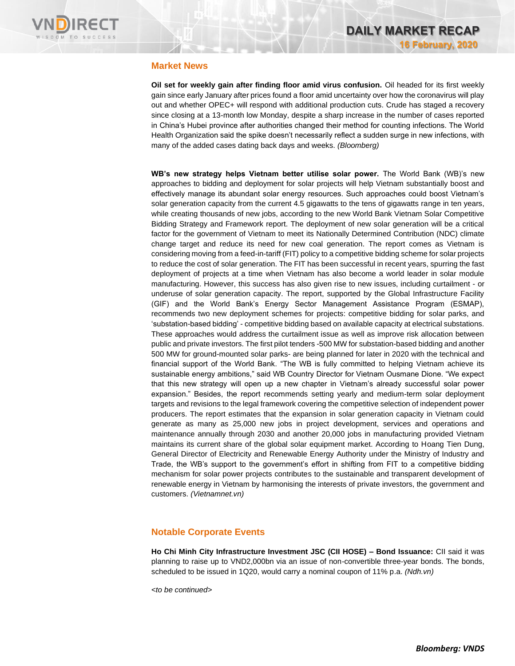

# **Market News**

**Oil set for weekly gain after finding floor amid virus confusion.** Oil headed for its first weekly gain since early January after prices found a floor amid uncertainty over how the coronavirus will play out and whether OPEC+ will respond with additional production cuts. Crude has staged a recovery since closing at a 13-month low Monday, despite a sharp increase in the number of cases reported in China's Hubei province after authorities changed their method for counting infections. The World Health Organization said the spike doesn't necessarily reflect a sudden surge in new infections, with many of the added cases dating back days and weeks. *(Bloomberg)*

**WB's new strategy helps Vietnam better utilise solar power.** The World Bank (WB)'s new approaches to bidding and deployment for solar projects will help Vietnam substantially boost and effectively manage its abundant solar energy resources. Such approaches could boost Vietnam's solar generation capacity from the current 4.5 gigawatts to the tens of gigawatts range in ten years, while creating thousands of new jobs, according to the new World Bank Vietnam Solar Competitive Bidding Strategy and Framework report. The deployment of new solar generation will be a critical factor for the government of Vietnam to meet its Nationally Determined Contribution (NDC) climate change target and reduce its need for new coal generation. The report comes as Vietnam is considering moving from a feed-in-tariff (FIT) policy to a competitive bidding scheme for solar projects to reduce the cost of solar generation. The FIT has been successful in recent years, spurring the fast deployment of projects at a time when Vietnam has also become a world leader in solar module manufacturing. However, this success has also given rise to new issues, including curtailment - or underuse of solar generation capacity. The report, supported by the Global Infrastructure Facility (GIF) and the World Bank's Energy Sector Management Assistance Program (ESMAP), recommends two new deployment schemes for projects: competitive bidding for solar parks, and 'substation-based bidding' - competitive bidding based on available capacity at electrical substations. These approaches would address the curtailment issue as well as improve risk allocation between public and private investors. The first pilot tenders -500 MW for substation-based bidding and another 500 MW for ground-mounted solar parks- are being planned for later in 2020 with the technical and financial support of the World Bank. "The WB is fully committed to helping Vietnam achieve its sustainable energy ambitions," said WB Country Director for Vietnam Ousmane Dione. "We expect that this new strategy will open up a new chapter in Vietnam's already successful solar power expansion." Besides, the report recommends setting yearly and medium-term solar deployment targets and revisions to the legal framework covering the competitive selection of independent power producers. The report estimates that the expansion in solar generation capacity in Vietnam could generate as many as 25,000 new jobs in project development, services and operations and maintenance annually through 2030 and another 20,000 jobs in manufacturing provided Vietnam maintains its current share of the global solar equipment market. According to Hoang Tien Dung, General Director of Electricity and Renewable Energy Authority under the Ministry of Industry and Trade, the WB's support to the government's effort in shifting from FIT to a competitive bidding mechanism for solar power projects contributes to the sustainable and transparent development of renewable energy in Vietnam by harmonising the interests of private investors, the government and customers. *(Vietnamnet.vn)*

# **Notable Corporate Events**

**Ho Chi Minh City Infrastructure Investment JSC (CII HOSE) – Bond Issuance:** CII said it was planning to raise up to VND2,000bn via an issue of non-convertible three-year bonds. The bonds, scheduled to be issued in 1Q20, would carry a nominal coupon of 11% p.a. *(Ndh.vn)*

*<to be continued>*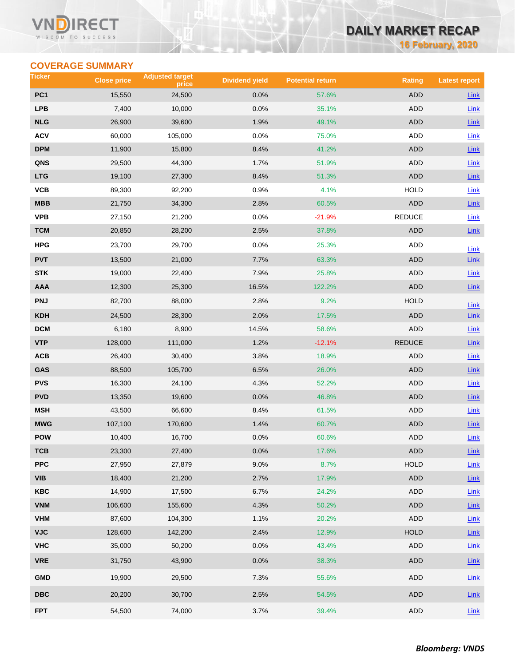### **VN RECT** WISDOM TO SUCCESS

# **DAILY MARKET RECAP**

**16 February, 2020**

# **COVERAGE SUMMARY**

| Ticker          | <b>Close price</b> | <b>Adjusted target</b><br>price | <b>Dividend yield</b> | <b>Potential return</b> | <b>Rating</b> | <b>Latest report</b> |
|-----------------|--------------------|---------------------------------|-----------------------|-------------------------|---------------|----------------------|
| PC <sub>1</sub> | 15,550             | 24,500                          | 0.0%                  | 57.6%                   | <b>ADD</b>    | Link                 |
| <b>LPB</b>      | 7,400              | 10,000                          | 0.0%                  | 35.1%                   | ADD           | Link                 |
| <b>NLG</b>      | 26,900             | 39,600                          | 1.9%                  | 49.1%                   | <b>ADD</b>    | Link                 |
| <b>ACV</b>      | 60,000             | 105,000                         | 0.0%                  | 75.0%                   | <b>ADD</b>    | Link                 |
| <b>DPM</b>      | 11,900             | 15,800                          | 8.4%                  | 41.2%                   | <b>ADD</b>    | $Link$               |
| QNS             | 29,500             | 44,300                          | 1.7%                  | 51.9%                   | <b>ADD</b>    | Link                 |
| <b>LTG</b>      | 19,100             | 27,300                          | 8.4%                  | 51.3%                   | <b>ADD</b>    | Link                 |
| VCB             | 89,300             | 92,200                          | 0.9%                  | 4.1%                    | <b>HOLD</b>   | <b>Link</b>          |
| <b>MBB</b>      | 21,750             | 34,300                          | 2.8%                  | 60.5%                   | <b>ADD</b>    | $Link$               |
| <b>VPB</b>      | 27,150             | 21,200                          | 0.0%                  | $-21.9%$                | <b>REDUCE</b> | Link                 |
| <b>TCM</b>      | 20,850             | 28,200                          | 2.5%                  | 37.8%                   | <b>ADD</b>    | Link                 |
| <b>HPG</b>      | 23,700             | 29,700                          | 0.0%                  | 25.3%                   | ADD           | Link                 |
| <b>PVT</b>      | 13,500             | 21,000                          | 7.7%                  | 63.3%                   | <b>ADD</b>    | Link                 |
| <b>STK</b>      | 19,000             | 22,400                          | 7.9%                  | 25.8%                   | <b>ADD</b>    | Link                 |
| AAA             | 12,300             | 25,300                          | 16.5%                 | 122.2%                  | <b>ADD</b>    | $Link$               |
| <b>PNJ</b>      | 82,700             | 88,000                          | 2.8%                  | 9.2%                    | <b>HOLD</b>   | Link                 |
| <b>KDH</b>      | 24,500             | 28,300                          | 2.0%                  | 17.5%                   | <b>ADD</b>    | $Link$               |
| <b>DCM</b>      | 6,180              | 8,900                           | 14.5%                 | 58.6%                   | ADD           | Link                 |
| <b>VTP</b>      | 128,000            | 111,000                         | 1.2%                  | $-12.1%$                | <b>REDUCE</b> | Link                 |
| ACB             | 26,400             | 30,400                          | 3.8%                  | 18.9%                   | ADD           | <b>Link</b>          |
| GAS             | 88,500             | 105,700                         | 6.5%                  | 26.0%                   | <b>ADD</b>    | $Link$               |
| <b>PVS</b>      | 16,300             | 24,100                          | 4.3%                  | 52.2%                   | <b>ADD</b>    | Link                 |
| <b>PVD</b>      | 13,350             | 19,600                          | 0.0%                  | 46.8%                   | <b>ADD</b>    | $Link$               |
| <b>MSH</b>      | 43,500             | 66,600                          | 8.4%                  | 61.5%                   | <b>ADD</b>    | <b>Link</b>          |
| <b>MWG</b>      | 107,100            | 170,600                         | 1.4%                  | 60.7%                   | <b>ADD</b>    | $Link$               |
| <b>POW</b>      | 10,400             | 16,700                          | 0.0%                  | 60.6%                   | <b>ADD</b>    | Link                 |
| тсв             | 23,300             | 27,400                          | 0.0%                  | 17.6%                   | <b>ADD</b>    | $Link$               |
| <b>PPC</b>      | 27,950             | 27,879                          | 9.0%                  | 8.7%                    | <b>HOLD</b>   | Link                 |
| <b>VIB</b>      | 18,400             | 21,200                          | 2.7%                  | 17.9%                   | ADD           | $Link$               |
| <b>KBC</b>      | 14,900             | 17,500                          | 6.7%                  | 24.2%                   | ADD           | Link                 |
| <b>VNM</b>      | 106,600            | 155,600                         | 4.3%                  | 50.2%                   | <b>ADD</b>    | $Link$               |
| <b>VHM</b>      | 87,600             | 104,300                         | 1.1%                  | 20.2%                   | ADD           | Link                 |
| <b>VJC</b>      | 128,600            | 142,200                         | 2.4%                  | 12.9%                   | <b>HOLD</b>   | Link                 |
| <b>VHC</b>      | 35,000             | 50,200                          | 0.0%                  | 43.4%                   | ADD           | Link                 |
| <b>VRE</b>      | 31,750             | 43,900                          | 0.0%                  | 38.3%                   | ADD           | <b>Link</b>          |
| <b>GMD</b>      | 19,900             | 29,500                          | 7.3%                  | 55.6%                   | ADD           | Link                 |
| <b>DBC</b>      | 20,200             | 30,700                          | 2.5%                  | 54.5%                   | ADD           | Link                 |
| <b>FPT</b>      | 54,500             | 74,000                          | 3.7%                  | 39.4%                   | ADD           | $Link$               |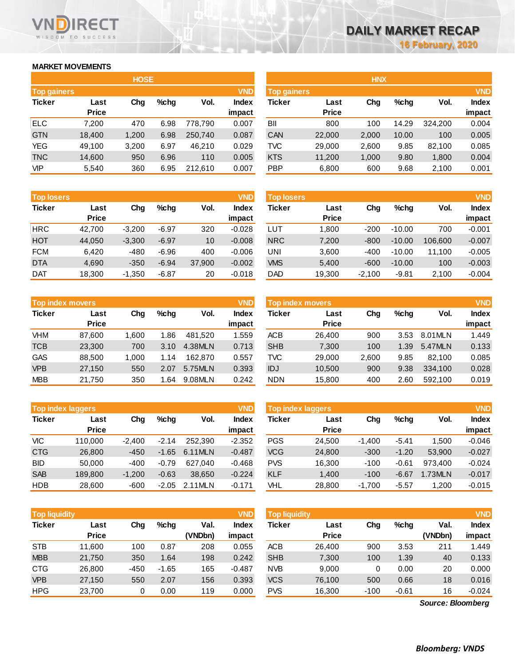# **MARKET MOVEMENTS**

WISDOM TO SUCCESS

RECT

|                    |              | <b>HOSE</b> |         |         |            |                    |              | <b>HNX</b> |         |         |            |
|--------------------|--------------|-------------|---------|---------|------------|--------------------|--------------|------------|---------|---------|------------|
| <b>Top gainers</b> |              |             |         |         | <b>VND</b> | <b>Top gainers</b> |              |            |         |         | <b>VND</b> |
| <b>Ticker</b>      | Last         | Chg         | $%$ chg | Vol.    | Index      | Ticker             | Last         | Chg        | $%$ chg | Vol.    | Index      |
|                    | <b>Price</b> |             |         |         | impact     |                    | <b>Price</b> |            |         |         | impact     |
| ELC.               | 7,200        | 470         | 6.98    | 778.790 | 0.007      | BII                | 800          | 100        | 14.29   | 324.200 | 0.004      |
| <b>GTN</b>         | 18,400       | 1,200       | 6.98    | 250,740 | 0.087      | <b>CAN</b>         | 22,000       | 2,000      | 10.00   | 100     | 0.005      |
| YEG                | 49,100       | 3,200       | 6.97    | 46.210  | 0.029      | <b>TVC</b>         | 29,000       | 2,600      | 9.85    | 82,100  | 0.085      |
| <b>TNC</b>         | 14,600       | 950         | 6.96    | 110     | 0.005      | <b>KTS</b>         | 11,200       | 1,000      | 9.80    | 1,800   | 0.004      |
| <b>VIP</b>         | 5,540        | 360         | 6.95    | 212,610 | 0.007      | <b>PBP</b>         | 6,800        | 600        | 9.68    | 2,100   | 0.001      |

| <b>Top losers</b> |              |          |         |        | <b>VND</b>   |
|-------------------|--------------|----------|---------|--------|--------------|
| <b>Ticker</b>     | Last         | Cha      | %chq    | Vol.   | <b>Index</b> |
|                   | <b>Price</b> |          |         |        | impact       |
| <b>HRC</b>        | 42,700       | $-3,200$ | $-6.97$ | 320    | $-0.028$     |
| <b>HOT</b>        | 44,050       | $-3,300$ | $-6.97$ | 10     | $-0.008$     |
| <b>FCM</b>        | 6.420        | -480     | $-6.96$ | 400    | $-0.006$     |
| <b>DTA</b>        | 4,690        | $-350$   | $-6.94$ | 37,900 | $-0.002$     |
| <b>DAT</b>        | 18,300       | $-1,350$ | $-6.87$ | 20     | $-0.018$     |

|               | <b>Top index movers</b> |       |         |         | <b>VND</b>   |
|---------------|-------------------------|-------|---------|---------|--------------|
| <b>Ticker</b> | Last                    | Cha   | $%$ chq | Vol.    | <b>Index</b> |
|               | <b>Price</b>            |       |         |         | impact       |
| <b>VHM</b>    | 87,600                  | 1,600 | 1.86    | 481,520 | 1.559        |
| <b>TCB</b>    | 23,300                  | 700   | 3.10    | 4.38MLN | 0.713        |
| <b>GAS</b>    | 88,500                  | 1,000 | 1.14    | 162.870 | 0.557        |
| <b>VPB</b>    | 27,150                  | 550   | 2.07    | 5.75MLN | 0.393        |
| <b>MBB</b>    | 21,750                  | 350   | 1.64    | 9.08MLN | 0.242        |

| Top index laggers |                      |          |         |         | <b>VND</b>             | <b>Top index laggers</b> |                      |          |         |         |                 |
|-------------------|----------------------|----------|---------|---------|------------------------|--------------------------|----------------------|----------|---------|---------|-----------------|
| <b>Ticker</b>     | Last<br><b>Price</b> | Chg      | %cha    | Vol.    | <b>Index</b><br>impact | Ticker                   | Last<br><b>Price</b> | Chg      | %cha    | Vol.    | Index<br>impact |
| VIC               | 110.000              | $-2.400$ | $-2.14$ | 252.390 | $-2.352$               | <b>PGS</b>               | 24.500               | $-1.400$ | $-5.41$ | 1.500   | $-0.046$        |
| <b>CTG</b>        | 26,800               | $-450$   | $-1.65$ | 6.11MLN | $-0.487$               | <b>VCG</b>               | 24,800               | $-300$   | $-1.20$ | 53,900  | $-0.027$        |
| <b>BID</b>        | 50,000               | $-400$   | $-0.79$ | 627.040 | $-0.468$               | <b>PVS</b>               | 16,300               | $-100$   | $-0.61$ | 973.400 | $-0.024$        |
| <b>SAB</b>        | 189.800              | $-1.200$ | $-0.63$ | 38.650  | $-0.224$               | <b>KLF</b>               | 1,400                | $-100$   | $-6.67$ | 1.73MLN | $-0.017$        |
| <b>HDB</b>        | 28,600               | $-600$   | $-2.05$ | 2.11MLN | $-0.171$               | VHL                      | 28.800               | -1,700   | $-5.57$ | 1.200   | $-0.015$        |

| <b>Top liquidity</b> |              |        |         |         | <b>VND</b>   | <b>Top liquidity</b> |              |        |         |                   | <b>VND</b>   |
|----------------------|--------------|--------|---------|---------|--------------|----------------------|--------------|--------|---------|-------------------|--------------|
| <b>Ticker</b>        | Last         | Chg    | $%$ chg | Val.    | <b>Index</b> | <b>Ticker</b>        | Last         | Chg    | $%$ chg | Val.              | <b>Index</b> |
|                      | <b>Price</b> |        |         | (VNDbn) | impact       |                      | <b>Price</b> |        |         | (VNDbn)           | impact       |
| <b>STB</b>           | 11,600       | 100    | 0.87    | 208     | 0.055        | <b>ACB</b>           | 26.400       | 900    | 3.53    | 211               | 1.449        |
| <b>MBB</b>           | 21,750       | 350    | 1.64    | 198     | 0.242        | <b>SHB</b>           | 7,300        | 100    | 1.39    | 40                | 0.133        |
| <b>CTG</b>           | 26,800       | $-450$ | $-1.65$ | 165     | $-0.487$     | <b>NVB</b>           | 9,000        | 0      | 0.00    | 20                | 0.000        |
| <b>VPB</b>           | 27,150       | 550    | 2.07    | 156     | 0.393        | <b>VCS</b>           | 76,100       | 500    | 0.66    | 18                | 0.016        |
| <b>HPG</b>           | 23,700       | 0      | 0.00    | 119     | 0.000        | <b>PVS</b>           | 16,300       | $-100$ | $-0.61$ | 16                | $-0.024$     |
|                      |              |        |         |         |              |                      |              |        |         | Source: Bloomberg |              |

*Source: Bloomberg*

|                    |              | <b>HOSE</b> |         |         |            |                    |              | <b>HNX</b> |         |         |              |
|--------------------|--------------|-------------|---------|---------|------------|--------------------|--------------|------------|---------|---------|--------------|
| <b>Top gainers</b> |              |             |         |         | <b>VND</b> | <b>Top gainers</b> |              |            |         |         | <b>VND</b>   |
| Ticker             | Last         | Chg         | $%$ chg | Vol.    | Index      | Ticker             | Last         | Chg        | $%$ chg | Vol.    | <b>Index</b> |
|                    | <b>Price</b> |             |         |         | impact     |                    | <b>Price</b> |            |         |         | impact       |
| ELC                | 7,200        | 470         | 6.98    | 778,790 | 0.007      | BII                | 800          | 100        | 14.29   | 324,200 | 0.004        |
| <b>GTN</b>         | 18,400       | 1,200       | 6.98    | 250,740 | 0.087      | CAN                | 22,000       | 2,000      | 10.00   | 100     | 0.005        |
| YEG                | 49,100       | 3,200       | 6.97    | 46,210  | 0.029      | <b>TVC</b>         | 29,000       | 2,600      | 9.85    | 82,100  | 0.085        |
| <b>TNC</b>         | 14,600       | 950         | 6.96    | 110     | 0.005      | <b>KTS</b>         | 11,200       | 1,000      | 9.80    | 1,800   | 0.004        |
| VIP                | 5,540        | 360         | 6.95    | 212,610 | 0.007      | <b>PBP</b>         | 6,800        | 600        | 9.68    | 2,100   | 0.001        |
|                    |              |             |         |         |            |                    |              |            |         |         |              |

| <b>Top losers</b> |              |          |         |        | <b>VND</b>   | <b>Top losers</b> |              |          |          |         | <b>VND</b>   |
|-------------------|--------------|----------|---------|--------|--------------|-------------------|--------------|----------|----------|---------|--------------|
| Ticker            | Last         | Chg      | $%$ chg | Vol.   | <b>Index</b> | Ticker            | Last         | Chg      | $%$ chg  | Vol.    | <b>Index</b> |
|                   | <b>Price</b> |          |         |        | impact       |                   | <b>Price</b> |          |          |         | impact       |
| HRC               | 42.700       | $-3.200$ | $-6.97$ | 320    | $-0.028$     | LUT               | 1,800        | $-200$   | $-10.00$ | 700     | $-0.001$     |
| НОТ               | 44.050       | $-3,300$ | $-6.97$ | 10     | $-0.008$     | <b>NRC</b>        | 7,200        | $-800$   | $-10.00$ | 106.600 | $-0.007$     |
| FCM               | 6.420        | $-480$   | $-6.96$ | 400    | $-0.006$     | UNI               | 3,600        | $-400$   | $-10.00$ | 11.100  | $-0.005$     |
| <b>DTA</b>        | 4,690        | $-350$   | $-6.94$ | 37,900 | $-0.002$     | <b>VMS</b>        | 5,400        | $-600$   | $-10.00$ | 100     | $-0.003$     |
| Dat               | 18,300       | $-1,350$ | $-6.87$ | 20     | $-0.018$     | <b>DAD</b>        | 19,300       | $-2,100$ | $-9.81$  | 2,100   | $-0.004$     |
|                   |              |          |         |        |              |                   |              |          |          |         |              |

| <b>Top index movers</b> |              |       |      |         | <b>VND</b>   | <b>Top index movers</b> |              | <b>VND</b> |      |         |              |
|-------------------------|--------------|-------|------|---------|--------------|-------------------------|--------------|------------|------|---------|--------------|
| Ticker                  | Last         | Chg   | %chq | Vol.    | <b>Index</b> | Ticker                  | Last         | Chg        | %chq | Vol.    | <b>Index</b> |
|                         | <b>Price</b> |       |      |         | impact       |                         | <b>Price</b> |            |      |         | impact       |
| VHM                     | 87.600       | 1.600 | 1.86 | 481.520 | 1.559        | <b>ACB</b>              | 26.400       | 900        | 3.53 | 8.01MLN | 1.449        |
| TCB                     | 23,300       | 700   | 3.10 | 4.38MLN | 0.713        | <b>SHB</b>              | 7,300        | 100        | 1.39 | 5.47MLN | 0.133        |
| GAS                     | 88.500       | 1.000 | 1.14 | 162.870 | 0.557        | TVC                     | 29,000       | 2,600      | 9.85 | 82.100  | 0.085        |
| <b>VPB</b>              | 27,150       | 550   | 2.07 | 5.75MLN | 0.393        | <b>IDJ</b>              | 10,500       | 900        | 9.38 | 334.100 | 0.028        |
| <b>MBB</b>              | 21.750       | 350   | .64  | 9.08MLN | 0.242        | <b>NDN</b>              | 15,800       | 400        | 2.60 | 592,100 | 0.019        |
|                         |              |       |      |         |              |                         |              |            |      |         |              |

|            |                          |          |         |         | <b>VND</b>   |                   |              | <b>VND</b> |         |         |              |
|------------|--------------------------|----------|---------|---------|--------------|-------------------|--------------|------------|---------|---------|--------------|
|            | <b>Top index laggers</b> |          |         |         |              | Top index laggers |              |            |         |         |              |
| Ticker     | Last                     | Chg      | $%$ chq | Vol.    | <b>Index</b> | Ticker            | Last         | Chg        | %chq    | Vol.    | <b>Index</b> |
|            | <b>Price</b>             |          |         |         | impact       |                   | <b>Price</b> |            |         |         | impact       |
| VIC        | 110.000                  | $-2.400$ | $-2.14$ | 252,390 | $-2.352$     | <b>PGS</b>        | 24.500       | $-1.400$   | $-5.41$ | 1.500   | $-0.046$     |
| <b>CTG</b> | 26,800                   | $-450$   | $-1.65$ | 6.11MLN | $-0.487$     | <b>VCG</b>        | 24,800       | $-300$     | $-1.20$ | 53,900  | $-0.027$     |
| BID        | 50,000                   | $-400$   | $-0.79$ | 627.040 | $-0.468$     | <b>PVS</b>        | 16.300       | $-100$     | $-0.61$ | 973.400 | $-0.024$     |
| <b>SAB</b> | 189.800                  | $-1.200$ | $-0.63$ | 38.650  | $-0.224$     | <b>KLF</b>        | 1.400        | $-100$     | $-6.67$ | 1.73MLN | $-0.017$     |
| HDB        | 28.600                   | $-600$   | $-2.05$ | 2.11MLN | $-0.171$     | VHL               | 28,800       | $-1.700$   | $-5.57$ | 1.200   | $-0.015$     |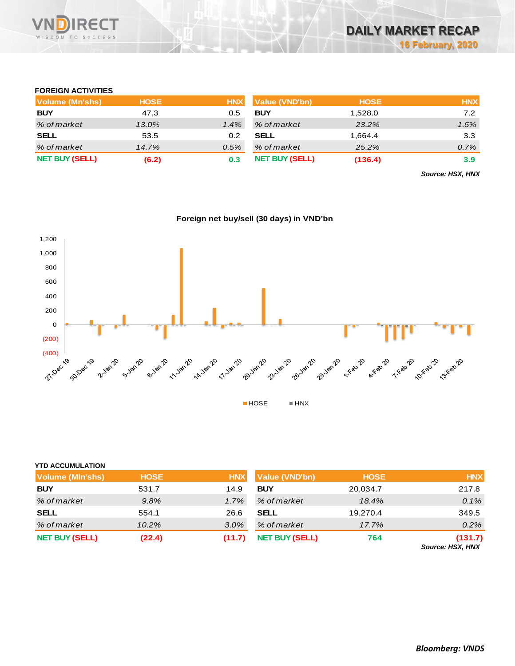

### **FOREIGN ACTIVITIES**

| Volume (Mn'shs)       | <b>HOSE</b> | <b>HNX</b> | <b>Value (VND'bn)</b> | <b>HOSE</b> | <b>HNX</b> |
|-----------------------|-------------|------------|-----------------------|-------------|------------|
| <b>BUY</b>            | 47.3        | 0.5        | <b>BUY</b>            | 1,528.0     | 7.2        |
| % of market           | 13.0%       | 1.4%       | % of market           | 23.2%       | 1.5%       |
| <b>SELL</b>           | 53.5        | 0.2        | <b>SELL</b>           | 1.664.4     | 3.3        |
| % of market           | 14.7%       | 0.5%       | % of market           | 25.2%       | 0.7%       |
| <b>NET BUY (SELL)</b> | (6.2)       | 0.3        | <b>NET BUY (SELL)</b> | (136.4)     | 3.9        |

*Source: HSX, HNX*





| <b>YTD ACCUMULATION</b> |             |            |                       |             |                             |
|-------------------------|-------------|------------|-----------------------|-------------|-----------------------------|
| <b>Volume (MIn'shs)</b> | <b>HOSE</b> | <b>HNX</b> | <b>Value (VND'bn)</b> | <b>HOSE</b> | <b>HNX</b>                  |
| <b>BUY</b>              | 531.7       | 14.9       | <b>BUY</b>            | 20,034.7    | 217.8                       |
| % of market             | 9.8%        | 1.7%       | % of market           | 18.4%       | 0.1%                        |
| <b>SELL</b>             | 554.1       | 26.6       | <b>SELL</b>           | 19,270.4    | 349.5                       |
| % of market             | 10.2%       | 3.0%       | % of market           | 17.7%       | 0.2%                        |
| <b>NET BUY (SELL)</b>   | (22.4)      | (11.7)     | <b>NET BUY (SELL)</b> | 764         | (131.7)<br>Source: HSX, HNX |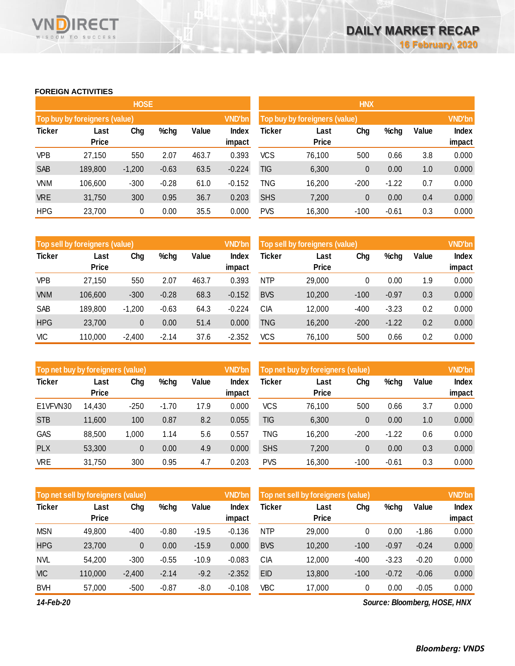### **FOREIGN ACTIVITIES**

WISDOM TO SUCCESS

VND

**RECT** 

|               |                               | <b>HOSE</b> |         |       |                        | <b>HNX</b>                    |                      |               |         |       |                        |  |
|---------------|-------------------------------|-------------|---------|-------|------------------------|-------------------------------|----------------------|---------------|---------|-------|------------------------|--|
|               | Top buy by foreigners (value) |             |         |       | <b>VND'bn</b>          | Top buy by foreigners (value) |                      | <b>VND'bn</b> |         |       |                        |  |
| <b>Ticker</b> | Last<br><b>Price</b>          | Chg         | %chg    | Value | <b>Index</b><br>impact | Ticker                        | Last<br><b>Price</b> | Chg           | %chg    | Value | <b>Index</b><br>impact |  |
| VPB           | 27,150                        | 550         | 2.07    | 463.7 | 0.393                  | <b>VCS</b>                    | 76,100               | 500           | 0.66    | 3.8   | 0.000                  |  |
| <b>SAB</b>    | 189,800                       | $-1,200$    | $-0.63$ | 63.5  | $-0.224$               | <b>TIG</b>                    | 6,300                | $\mathbf{0}$  | 0.00    | 1.0   | 0.000                  |  |
| <b>VNM</b>    | 106,600                       | $-300$      | $-0.28$ | 61.0  | $-0.152$               | TNG                           | 16,200               | $-200$        | $-1.22$ | 0.7   | 0.000                  |  |
| <b>VRE</b>    | 31,750                        | 300         | 0.95    | 36.7  | 0.203                  | <b>SHS</b>                    | 7,200                | $\mathbf{0}$  | 0.00    | 0.4   | 0.000                  |  |
| <b>HPG</b>    | 23,700                        | 0           | 0.00    | 35.5  | 0.000                  | <b>PVS</b>                    | 16,300               | $-100$        | $-0.61$ | 0.3   | 0.000                  |  |

|               | Top sell by foreigners (value) |          |         |       | <b>VND'bn</b>   | Top sell by foreigners (value) | <b>VND'bn</b>        |        |         |       |                        |
|---------------|--------------------------------|----------|---------|-------|-----------------|--------------------------------|----------------------|--------|---------|-------|------------------------|
| <b>Ticker</b> | Last<br><b>Price</b>           | Chg      | %chg    | Value | Index<br>impact | Ticker                         | Last<br><b>Price</b> | Chg    | %chg    | Value | <b>Index</b><br>impact |
|               |                                |          |         |       |                 |                                |                      |        |         |       |                        |
| <b>VPB</b>    | 27,150                         | 550      | 2.07    | 463.7 | 0.393           | <b>NTP</b>                     | 29,000               | 0      | 0.00    | 1.9   | 0.000                  |
| <b>VNM</b>    | 106,600                        | $-300$   | $-0.28$ | 68.3  | $-0.152$        | <b>BVS</b>                     | 10,200               | $-100$ | $-0.97$ | 0.3   | 0.000                  |
| SAB           | 189,800                        | $-1,200$ | $-0.63$ | 64.3  | $-0.224$        | CIA                            | 12,000               | $-400$ | $-3.23$ | 0.2   | 0.000                  |
| <b>HPG</b>    | 23,700                         | 0        | 0.00    | 51.4  | 0.000           | TNG                            | 16,200               | $-200$ | $-1.22$ | 0.2   | 0.000                  |
| VIC           | 110,000                        | $-2,400$ | $-2.14$ | 37.6  | $-2.352$        | vcs                            | 76,100               | 500    | 0.66    | 0.2   | 0.000                  |

| Top net buy by foreigners (value) |                      |        |         |       | <b>VND'bn</b>   | Top net buy by foreigners (value) | <b>VND'bn</b>        |        |         |       |                        |
|-----------------------------------|----------------------|--------|---------|-------|-----------------|-----------------------------------|----------------------|--------|---------|-------|------------------------|
| <b>Ticker</b>                     | Last<br><b>Price</b> | Chg    | %chg    | Value | Index<br>impact | Ticker                            | Last<br><b>Price</b> | Chg    | %chg    | Value | <b>Index</b><br>impact |
| E1VFVN30                          | 14,430               | $-250$ | $-1.70$ | 17.9  | 0.000           | vcs                               | 76,100               | 500    | 0.66    | 3.7   | 0.000                  |
| <b>STB</b>                        | 11,600               | 100    | 0.87    | 8.2   | 0.055           | TIG                               | 6,300                | 0      | 0.00    | 1.0   | 0.000                  |
| <b>GAS</b>                        | 88,500               | 1,000  | 1.14    | 5.6   | 0.557           | TNG                               | 16,200               | $-200$ | $-1.22$ | 0.6   | 0.000                  |
| <b>PLX</b>                        | 53,300               | 0      | 0.00    | 4.9   | 0.000           | <b>SHS</b>                        | 7,200                | 0      | 0.00    | 0.3   | 0.000                  |
| VRE                               | 31,750               | 300    | 0.95    | 4.7   | 0.203           | <b>PVS</b>                        | 16,300               | $-100$ | $-0.61$ | 0.3   | 0.000                  |

|               | Top net sell by foreigners (value) |          |         |         | <b>VND'bn</b> | Top net sell by foreigners (value) | <b>VND'bn</b> |        |         |         |              |
|---------------|------------------------------------|----------|---------|---------|---------------|------------------------------------|---------------|--------|---------|---------|--------------|
| <b>Ticker</b> | Last                               | Chg      | %chg    | Value   | Index         | Ticker                             | Last          | Chg    | %chg    | Value   | <b>Index</b> |
|               | <b>Price</b>                       |          |         |         | impact        |                                    | <b>Price</b>  |        |         |         | impact       |
| <b>MSN</b>    | 49.800                             | $-400$   | $-0.80$ | $-19.5$ | $-0.136$      | <b>NTP</b>                         | 29.000        | 0      | 0.00    | $-1.86$ | 0.000        |
| <b>HPG</b>    | 23,700                             | 0        | 0.00    | $-15.9$ | 0.000         | <b>BVS</b>                         | 10,200        | $-100$ | $-0.97$ | $-0.24$ | 0.000        |
| <b>NVL</b>    | 54,200                             | $-300$   | $-0.55$ | $-10.9$ | $-0.083$      | СIА                                | 12,000        | $-400$ | $-3.23$ | $-0.20$ | 0.000        |
| <b>VIC</b>    | 110,000                            | $-2,400$ | $-2.14$ | $-9.2$  | $-2.352$      | <b>EID</b>                         | 13,800        | $-100$ | $-0.72$ | $-0.06$ | 0.000        |
| <b>BVH</b>    | 57,000                             | $-500$   | $-0.87$ | $-8.0$  | $-0.108$      | VBC                                | 17,000        | 0      | 0.00    | $-0.05$ | 0.000        |

*14-Feb-20*

*Source: Bloomberg, HOSE, HNX*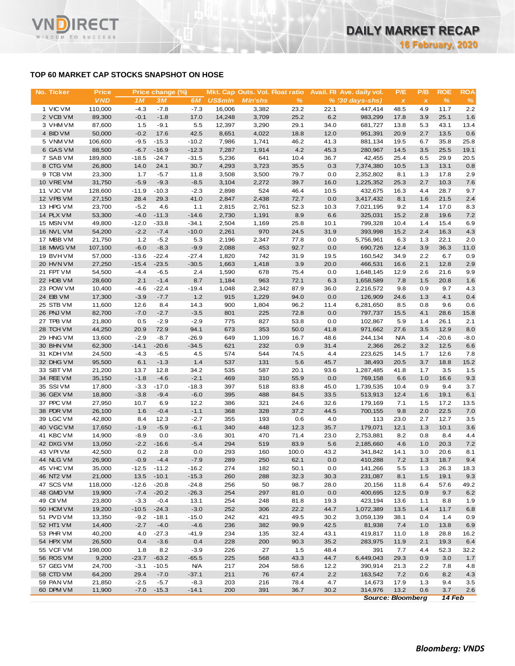# **TOP 60 MARKET CAP STOCKS SNAPSHOT ON HOSE**

**RECT** 

WISDOM TO SUCCESS

VND

| No. Ticker             | <b>Price</b>      |                   | Price change (%)  |                   |                | Mkt. Cap Outs. Vol. Float ratio |              |              | Avail. Fil Ave. daily vol. | P/E            | P/B            | <b>ROE</b>   | <b>ROA</b> |
|------------------------|-------------------|-------------------|-------------------|-------------------|----------------|---------------------------------|--------------|--------------|----------------------------|----------------|----------------|--------------|------------|
|                        | <b>VND</b>        | 1 <sub>M</sub>    | <b>3M</b>         | 6M                | <b>US\$mln</b> | <b>M</b> In'shs                 | $\%$         |              | $% (30 days-shs)$          | $\pmb{\times}$ | $\pmb{\times}$ | $\%$         | %          |
| 1 VIC VM               | 110,000           | $-4.3$            | $-7.8$            | $-7.3$            | 16,006         | 3,382                           | 23.2         | 22.1         | 447,414                    | 48.5           | 4.9            | 11.7         | 2.2        |
| 2 VCB VM               | 89,300            | $-0.1$            | $-1.8$            | 17.0              | 14,248         | 3,709                           | 25.2         | 6.2          | 983,299                    | 17.8           | 3.9            | 25.1         | 1.6        |
| 3 VHM VM               | 87,600            | 1.5               | $-9.1$            | 5.5               | 12,397         | 3,290                           | 29.1         | 34.0         | 681,727                    | 13.8           | 5.3            | 43.1         | 13.4       |
| 4 BID VM               | 50,000            | $-0.2$            | 17.6              | 42.5              | 8,651          | 4,022                           | 18.8         | 12.0         | 951,391                    | 20.9           | 2.7            | 13.5         | 0.6        |
| 5 VNM VM               | 106,600           | $-9.5$            | $-15.3$           | $-10.2$           | 7,986          | 1,741                           | 46.2         | 41.3         | 881,134                    | 19.5           | 6.7            | 35.8         | 25.8       |
| 6 GAS VM               | 88,500            | $-6.7$            | $-16.9$           | $-12.3$           | 7,287          | 1,914                           | 4.2          | 45.3         | 280,967                    | 14.5           | 3.5            | 25.5         | 19.1       |
| 7 SAB VM               | 189,800           | $-18.5$           | $-24.7$           | $-31.5$           | 5,236          | 641                             | 10.4         | 36.7         | 42,455                     | 25.4           | 6.5            | 29.9         | 20.5       |
| 8 CTG VM               | 26,800            | 14.0              | 24.1              | 30.7              | 4,293          | 3,723                           | 35.5         | 0.3          | 7,374,380                  | 10.5           | 1.3            | 13.1         | 0.8        |
| 9 TCB VM               | 23,300            | 1.7               | $-5.7$            | 11.8              | 3,508          | 3,500                           | 79.7         | 0.0          | 2,352,802                  | 8.1            | 1.3            | 17.8         | 2.9        |
| 10 VRE VM<br>11 VJC VM | 31,750<br>128,600 | $-5.9$<br>$-11.9$ | $-9.3$<br>$-10.3$ | $-8.5$<br>$-2.3$  | 3,104<br>2,898 | 2,272<br>524                    | 39.7<br>46.4 | 16.0<br>10.5 | 1,225,352<br>432,675       | 25.3<br>16.3   | 2.7<br>4.4     | 10.3<br>28.7 | 7.6<br>9.7 |
| 12 VPB VM              | 27,150            | 28.4              | 29.3              | 41.0              | 2,847          | 2,438                           | 72.7         | 0.0          | 3,417,432                  | 8.1            | 1.6            | 21.5         | 2.4        |
| 13 HPG VM              | 23,700            | $-5.2$            | 4.6               | 1.1               | 2,815          | 2,761                           | 52.3         | 10.3         | 7,021,195                  | 9.2            | 1.4            | 17.0         | 8.3        |
| 14 PLX VM              | 53,300            | $-4.0$            | $-11.3$           | $-14.6$           | 2,730          | 1,191                           | 8.9          | 6.6          | 325,031                    | 15.2           | 2.8            | 19.6         | 7.2        |
| 15 MSN VM              | 49,800            | $-12.0$           | $-33.8$           | $-34.1$           | 2,504          | 1,169                           | 25.8         | 10.1         | 799,328                    | 10.4           | 1.4            | 15.4         | 6.9        |
| 16 NVL VM              | 54,200            | $-2.2$            | $-7.4$            | $-10.0$           | 2,261          | 970                             | 24.5         | 31.9         | 393,998                    | 15.2           | 2.4            | 16.3         | 4.3        |
| 17 MBB VM              | 21,750            | $1.2$             | $-5.2$            | 5.3               | 2,196          | 2,347                           | 77.8         | 0.0          | 5,756,961                  | 6.3            | 1.3            | 22.1         | 2.0        |
| 18 MWG VM              | 107,100           | $-6.0$            | $-8.3$            | $-9.9$            | 2,088          | 453                             | 92.7         | 0.0          | 690,726                    | 12.4           | 3.9            | 36.3         | 11.0       |
| 19 BVHVM               | 57,000            | $-13.6$           | $-22.4$           | $-27.4$           | 1,820          | 742                             | 31.9         | 19.5         | 160,542                    | 34.9           | 2.2            | 6.7          | 0.9        |
| 20 HVN VM              | 27,250            | $-15.4$           | $-23.5$           | $-30.5$           | 1,663          | 1,418                           | 3.9          | 20.0         | 466,531                    | 16.6           | 2.1            | 12.8         | 2.9        |
| 21 FPT VM              | 54,500            | $-4.4$            | $-6.5$            | 2.4               | 1,590          | 678                             | 75.4         | 0.0          | 1,648,145                  | 12.9           | 2.6            | 21.6         | 9.9        |
| 22 HDB VM              | 28,600            | 2.1               | $-1.4$            | 8.7               | 1,184          | 963                             | 72.1         | 6.3          | 1,658,589                  | 7.8            | 1.5            | 20.8         | 1.6        |
| 23 POW VM              | 10,400            | $-4.6$            | $-22.4$           | $-19.4$           | 1,048          | 2,342                           | 87.9         | 36.0         | 2,216,572                  | 9.8            | 0.9            | 9.7          | 4.3        |
| 24 EIB VM              | 17,300            | $-3.9$            | $-7.7$            | 1.2               | 915            | 1,229                           | 94.0         | 0.0          | 126,909                    | 24.6           | 1.3            | 4.1          | 0.4        |
| 25 STB VM              | 11,600            | 12.6              | 8.4               | 14.3              | 900            | 1,804                           | 96.2         | 11.4         | 6,281,650                  | 8.5            | 0.8            | 9.6          | 0.6        |
| 26 PNJ VM              | 82,700            | $-7.0$            | $-2.7$            | $-3.5$            | 801            | 225                             | 72.8         | 0.0          | 797,737                    | 15.5           | 4.1            | 28.6         | 15.8       |
| 27 TPB VM              | 21,800            | 0.5               | $-2.9$            | $-2.9$            | 775            | 827                             | 53.8         | 0.0          | 102,867                    | 5.9            | 1.4            | 26.1         | 2.1        |
| 28 TCH VM              | 44,250            | 20.9              | 72.9              | 94.1              | 673            | 353                             | 50.0         | 41.8         | 971,662                    | 27.6           | 3.5            | 12.9         | 8.0        |
| 29 HNG VM              | 13,600            | $-2.9$            | $-8.7$            | $-26.9$           | 649            | 1,109                           | 16.7         | 48.6         | 244,134                    | <b>N/A</b>     | 1.4            | $-20.6$      | $-8.0$     |
| 30 BHN VM              | 62,300            | $-14.1$           | $-20.6$           | $-34.5$           | 621            | 232                             | 0.9          | 31.4         | 2,366                      | 26.2           | 3.2            | 12.5         | 6.6        |
| 31 KDH VM              | 24,500            | $-4.3$            | $-6.5$            | 4.5               | 574            | 544                             | 74.5         | 4.4          | 223,625                    | 14.5           | 1.7            | 12.6         | 7.8        |
| 32 DHG VM              | 95,500            | 6.1               | $-1.3$            | 1.4               | 537            | 131                             | 5.6          | 45.7         | 38,493                     | 20.5           | 3.7            | 18.8         | 15.2       |
| 33 SBT VM<br>34 REE VM | 21,200<br>35,150  | 13.7<br>$-1.8$    | 12.8<br>$-4.6$    | 34.2<br>$-2.1$    | 535<br>469     | 587<br>310                      | 20.1<br>55.9 | 93.6<br>0.0  | 1,287,485<br>769,158       | 41.8<br>6.6    | 1.7<br>1.0     | 3.5<br>16.6  | 1.5<br>9.3 |
| 35 SSI VM              | 17,800            | $-3.3$            | $-17.0$           | $-18.3$           | 397            | 518                             | 83.8         | 45.0         | 1,739,535                  | 10.4           | 0.9            | 9.4          | 3.7        |
| 36 GEX VM              | 18,800            | $-3.8$            | $-9.4$            | $-6.0$            | 395            | 488                             | 84.5         | 33.5         | 513,913                    | 12.4           | 1.6            | 19.1         | 6.1        |
| 37 PPC VM              | 27,950            | 10.7              | 6.9               | 12.2              | 386            | 321                             | 24.6         | 32.6         | 179,169                    | 7.1            | 1.5            | 17.2         | 13.5       |
| 38 PDR VM              | 26,100            | 1.6               | $-0.4$            | $-1.1$            | 368            | 328                             | 37.2         | 44.5         | 700,155                    | 9.8            | 2.0            | 22.5         | 7.0        |
| 39 LGC VM              | 42,800            | 8.4               | 12.3              | $-2.7$            | 355            | 193                             | 0.6          | 4.0          | 113                        | 23.0           | 2.7            | 12.7         | 3.5        |
| 40 VGC VM              | 17,650            | $-1.9$            | $-5.9$            | $-6.1$            | 340            | 448                             | 12.3         | 35.7         | 179,071                    | 12.1           | 1.3            | 10.1         | 3.6        |
| 41 KBC VM              | 14,900            | $-8.9$            | 0.0               | $-3.6$            | 301            | 470                             | 71.4         | 23.0         | 2,753,881                  | 8.2            | $0.8\,$        | 8.4          | 4.4        |
| 42 DXG VM              | 13,050            | $-2.2$            | $-16.6$           | $-5.4$            | 294            | 519                             | 83.9         | 5.6          | 2,185,660                  | 4.6            | 1.0            | 20.3         | 7.2        |
| 43 VPIVM               | 42,500            | 0.2               | 2.8               | 0.0               | 293            | 160                             | 100.0        | 43.2         | 341,842                    | 14.1           | 3.0            | 20.6         | 8.1        |
| 44 NLG VM              | 26,900            | $-0.9$            | $-4.4$            | $-7.9$            | 289            | 250                             | 62.1         | 0.0          | 410,288                    | 7.2            | 1.3            | 18.7         | 9.4        |
| 45 VHC VM              | 35,000            | $-12.5$           | $-11.2$           | $-16.2$           | 274            | 182                             | 50.1         | 0.0          | 141,266                    | 5.5            | 1.3            | 26.3         | 18.3       |
| 46 NT2 VM              | 21,000            | 13.5              | $-10.1$           | $-15.3$           | 260            | 288                             | 32.3         | 30.3         | 231,087                    | 8.1            | 1.5            | 19.1         | 9.3        |
| 47 SCS VM              | 118,000           | $-12.6$           | $-20.8$           | $-24.8$           | 256            | 50                              | 98.7         | 28.0         | 20,156                     | 11.8           | 6.4            | 57.6         | 49.2       |
| 48 GMD VM              | 19,900            | $-7.4$            | $-20.2$           | $-26.3$           | 254            | 297                             | 81.0         | 0.0          | 400,695                    | 12.5           | 0.9            | 9.7          | 6.2        |
| 49 CII VM              | 23,800            | $-3.3$            | $-0.4$            | 13.1              | 254            | 248                             | 81.8         | 19.3         | 423,194                    | 13.6           | 1.1            | 8.8          | 1.9        |
| 50 HCM VM              | 19,200            | $-10.5$           | $-24.3$           | $-3.0$            | 252            | 306                             | 22.2         | 44.7         | 1,072,389                  | 13.5           | 1.4            | 11.7         | 6.8        |
| 51 PVD VM              | 13,350            | $-9.2$            | $-18.1$           | $-15.0$           | 242            | 421                             | 49.5         | 30.2         | 3,059,139                  | 38.1           | 0.4            | 1.4          | 0.9        |
| 52 HT1 VM              | 14,400            | $-2.7$            | $-4.0$            | $-4.6$            | 236            | 382                             | 99.9         | 42.5         | 81,938                     | 7.4            | 1.0            | 13.8         | 6.9        |
| 53 PHR VM              | 40,200            | 4.0               | $-27.3$           | $-41.9$           | 234            | 135                             | 32.4         | 43.1         | 419,817                    | 11.0           | 1.8            | 28.8         | 16.2       |
| 54 HPX VM              | 26,500            | 0.4               | $-3.6$            | 0.4               | 228            | 200                             | 90.3         | 35.2         | 283,975                    | 11.9           | 2.1            | 19.3         | 6.4        |
| 55 VCF VM              | 198,000           | 1.8               | 8.2               | $-3.9$            | 226            | 27                              | 1.5          | 48.4         | 391                        | 7.7            | 4.4            | 52.3         | 32.2       |
| 56 ROS VM              | 9,200             | $-23.7$           | $-63.2$           | $-65.5$           | 225            | 568                             | 43.3         | 44.7         | 6,449,043                  | 29.3           | 0.9            | 3.0          | 1.7        |
| 57 GEG VM              | 24,700            | $-3.1$            | $-10.5$           | <b>N/A</b>        | 217            | 204                             | 58.6         | 12.2         | 390,914                    | 21.3           | 2.2            | 7.8          | 4.8        |
| 58 CTD VM              | 64,200            | 29.4              | $-7.0$            | $-37.1$           | 211            | 76                              | 67.4         | 2.2          | 163,542                    | 7.2            | 0.6            | 8.2          | 4.3        |
| 59 PAN VM<br>60 DPM VM | 21,850<br>11,900  | $-2.5$<br>$-7.0$  | $-5.7$<br>$-15.3$ | $-8.3$<br>$-14.1$ | 203<br>200     | 216<br>391                      | 78.4<br>36.7 | 4.7<br>30.2  | 14,673<br>314,976          | 17.9<br>13.2   | 1.3<br>0.6     | 9.4<br>3.7   | 3.5<br>2.6 |
|                        |                   |                   |                   |                   |                |                                 |              |              |                            |                |                |              |            |